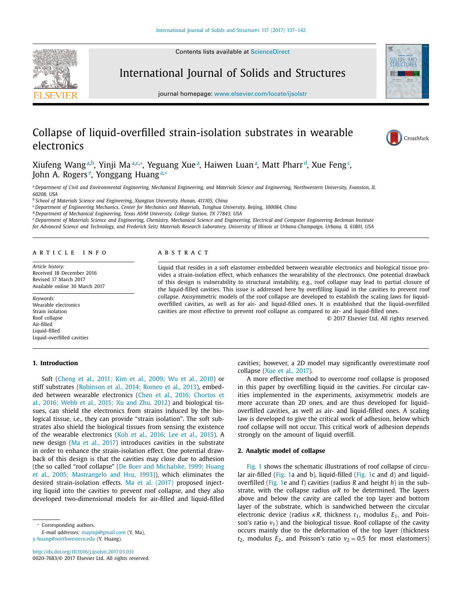Contents lists available at [ScienceDirect](http://www.ScienceDirect.com)

<span id="page-0-0"></span>



journal homepage: [www.elsevier.com/locate/ijsolstr](http://www.elsevier.com/locate/ijsolstr)

# Collapse of liquid-overfilled strain-isolation substrates in wearable electronics



Xiufeng Wang<sup>a,b</sup>, Yinji Ma<sup>a,c,</sup>\*, Yeguang Xue<sup>a</sup>, Haiwen Luan<sup>a</sup>, Matt Pharr<sup>d</sup>, Xue Feng<sup>c</sup>, John A. Rogers<sup>e</sup>, Yonggang Huang<sup>a,</sup>∗

a Department of Civil and Environmental Engineering, Mechanical Engineering, and Materials Science and Engineering, Northwestern University, Evanston, IL *60208, USA*

<sup>b</sup> *School of Materials Science and Engineering, Xiangtan University, Hunan, 411105, China*

<sup>c</sup> *Department of Engineering Mechanics, Center for Mechanics and Materials, Tsinghua University, Beijing, 100084, China*

<sup>d</sup> *Department of Mechanical Engineering, Texas A&M University, College Station, TX 77843, USA*

e Department of Materials Science and Engineering, Chemistry, Mechanical Science and Engineering, Electrical and Computer Engineering Beckman Institute

for Advanced Science and Technology, and Frederick Seitz Materials Research Laboratory, University of Illinois at Urbana-Champaign, Urbana, IL 61801, USA

#### a r t i c l e i n f o

*Article history:* Received 18 December 2016 Revised 17 March 2017 Available online 30 March 2017

*Keywords:* Wearable electronics Strain isolation Roof collapse Air-filled Liquid-filled Liquid-overfilled cavities

## **1. Introduction**

# A B S T R A C T

Liquid that resides in a soft elastomer embedded between wearable electronics and biological tissue provides a strain-isolation effect, which enhances the wearability of the electronics. One potential drawback of this design is vulnerability to structural instability, e.g., roof collapse may lead to partial closure of the liquid-filled cavities. This issue is addressed here by overfilling liquid in the cavities to prevent roof collapse. Axisymmetric models of the roof collapse are developed to establish the scaling laws for liquidoverfilled cavities, as well as for air- and liquid-filled ones. It is established that the liquid-overfilled cavities are most effective to prevent roof collapse as compared to air- and liquid-filled ones.

© 2017 Elsevier Ltd. All rights reserved.

Soft [\(Cheng](#page-5-0) et al., 2011; Kim et al., 2009; Wu et al., 2010) or stiff substrates [\(Robinson](#page-5-0) et al., 2014; Romeo et al., 2013), embedded between wearable [electronics](#page-5-0) (Chen et al., 2016; Chortos et al., 2016; Webb et al., 2015; Xu and Zhu, 2012) and biological tissues, can shield the electronics from strains induced by the biological tissue, i.e., they can provide "strain isolation". The soft substrates also shield the biological tissues from sensing the existence of the wearable electronics (Koh et al., [2016;](#page-5-0) Lee et al., 2015). A new design (Ma et al., [2017\)](#page-5-0) introduces cavities in the substrate in order to enhance the strain-isolation effect. One potential drawback of this design is that the cavities may close due to adhesion (the so called "roof [collapse" \(De](#page-5-0) Boer and Michalske, 1999; Huang et al., 2005; Mastrangelo and Hsu, 1993)), which eliminates the desired strain-isolation effects. Ma et al. [\(2017\)](#page-5-0) proposed injecting liquid into the cavities to prevent roof collapse, and they also developed two-dimensional models for air-filled and liquid-filled

Corresponding authors.

*E-mail addresses:* [mayinji@gmail.com](mailto:mayinji@gmail.com) (Y. Ma), [y-huang@northwestern.edu](mailto:y-huang@northwestern.edu) (Y. Huang).

<http://dx.doi.org/10.1016/j.ijsolstr.2017.03.031> 0020-7683/© 2017 Elsevier Ltd. All rights reserved. cavities; however, a 2D model may significantly overestimate roof collapse (Xue et al., [2017\)](#page-5-0).

A more effective method to overcome roof collapse is proposed in this paper by overfilling liquid in the cavities. For circular cavities implemented in the experiments, axisymmetric models are more accurate than 2D ones, and are thus developed for liquidoverfilled cavities, as well as air- and liquid-filled ones. A scaling law is developed to give the critical work of adhesion, below which roof collapse will not occur. This critical work of adhesion depends strongly on the amount of liquid overfill.

## **2. Analytic model of collapse**

[Fig.](#page-1-0) 1 shows the schematic illustrations of roof collapse of circular air-filled [\(Fig.](#page-1-0) 1a and b), liquid-filled [\(Fig.](#page-1-0) 1c and d) and liquidoverfilled [\(Fig.](#page-1-0) 1e and f) cavities (radius *R* and height *h*) in the substrate, with the collapse radius  $\alpha R$  to be determined. The layers above and below the cavity are called the top layer and bottom layer of the substrate, which is sandwiched between the circular electronic device (radius  $\kappa R$ , thickness  $t_1$ , modulus  $E_1$ , and Poisson's ratio  $v_1$ ) and the biological tissue. Roof collapse of the cavity occurs mainly due to the deformation of the top layer (thickness  $t_2$ , modulus  $E_2$ , and Poisson's ratio  $v_2 = 0.5$  for most elastomers)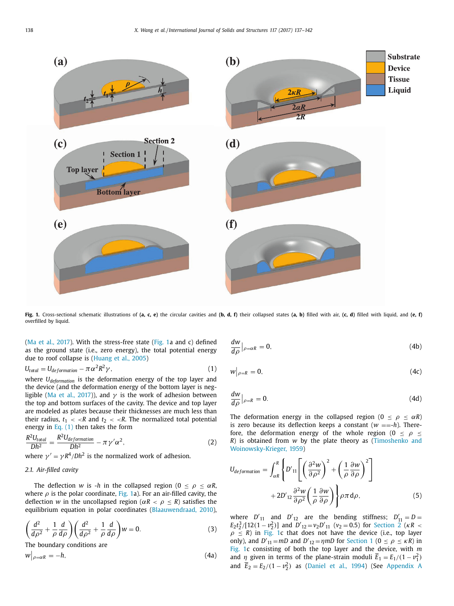<span id="page-1-0"></span>

Fig. 1. Cross-sectional schematic illustrations of (a, c, e) the circular cavities and (b, d, f) their collapsed states (a, b) filled with air, (c, d) filled with liquid, and (e, f) overfilled by liquid.

(Ma et al., [2017\)](#page-5-0). With the stress-free state (Fig. 1a and c) defined as the ground state (i.e., zero energy), the total potential energy due to roof collapse is [\(Huang](#page-5-0) et al., 2005)

$$
U_{total} = U_{deformation} - \pi \alpha^2 R^2 \gamma, \qquad (1)
$$

where *Udeformation* is the deformation energy of the top layer and the device (and the deformation energy of the bottom layer is neg-ligible (Ma et al., [2017\)](#page-5-0)), and  $\gamma$  is the work of adhesion between the top and bottom surfaces of the cavity. The device and top layer are modeled as plates because their thicknesses are much less than their radius,  $t_1 < R$  and  $t_2 < R$ . The normalized total potential energy in Eq.  $(1)$  then takes the form

$$
\frac{R^2U_{total}}{Dh^2} = \frac{R^2U_{deformation}}{Dh^2} - \pi\gamma'\alpha^2,\tag{2}
$$

where  $\gamma' = \gamma R^4/Dh^2$  is the normalized work of adhesion.

#### *2.1. Air-filled cavity*

The deflection *w* is -*h* in the collapsed region ( $0 \le \rho \le \alpha R$ , where  $\rho$  is the polar coordinate, Fig. 1a). For an air-filled cavity, the deflection *w* in the uncollapsed region ( $\alpha R < \rho \le R$ ) satisfies the equilibrium equation in polar coordinates [\(Blaauwendraad,](#page-5-0) 2010),

$$
\left(\frac{d^2}{d\rho^2} + \frac{1}{\rho} \frac{d}{d\rho}\right) \left(\frac{d^2}{d\rho^2} + \frac{1}{\rho} \frac{d}{d\rho}\right) w = 0.
$$
\n(3)

The boundary conditions are

$$
w|_{\rho=\alpha R}=-h,\t\t(4a)
$$

$$
\frac{dw}{d\rho}\big|_{\rho=\alpha R}=0,\tag{4b}
$$

$$
w|_{\rho=R}=0,\t\t(4c)
$$

$$
\frac{dw}{d\rho}\big|_{\rho=R} = 0. \tag{4d}
$$

The deformation energy in the collapsed region ( $0 \le \rho \le \alpha R$ ) is zero because its deflection keeps a constant  $(w == h)$ . Therefore, the deformation energy of the whole region (0  $\leq \rho \leq$ *R*) is obtained from *w* by the plate theory as (Timoshenko and [Woinowsky-Krieger,](#page-5-0) 1959)

$$
U_{deformation} = \int_{\alpha R}^{R} \left\{ D'_{11} \left[ \left( \frac{\partial^2 W}{\partial \rho^2} \right)^2 + \left( \frac{1}{\rho} \frac{\partial W}{\partial \rho} \right)^2 \right] + 2D'_{12} \frac{\partial^2 W}{\partial \rho^2} \left( \frac{1}{\rho} \frac{\partial W}{\partial \rho} \right) \right\} \rho \pi \, d\rho, \tag{5}
$$

where  $D'_{11}$  and  $D'_{12}$  are the bending stiffness;  $D'_{11} = D =$  $E_2 t_2^3/[12(1-v_2^2)]$  and  $D'_{12}=v_2D'_{11}$  ( $v_2=0.5$ ) for [Section](#page-0-0) 2 ( $\kappa R$  <  $\rho \le R$ ) in Fig. 1c that does not have the device (i.e., top layer only), and  $D'_{11} = mD$  and  $D'_{12} = \eta mD$  for [Section](#page-0-0) 1 ( $0 \le \rho \le \kappa R$ ) in Fig. 1c consisting of both the top layer and the device, with *m* and  $\eta$  given in terms of the plane-strain moduli  $\overline{E}_1 = E_1/(1 - v_1^2)$ and  $\overline{E}_2 = E_2/(1 - v_2^2)$  as [\(Daniel](#page-5-0) et al., 1994) (See [Appendix](#page-5-0) A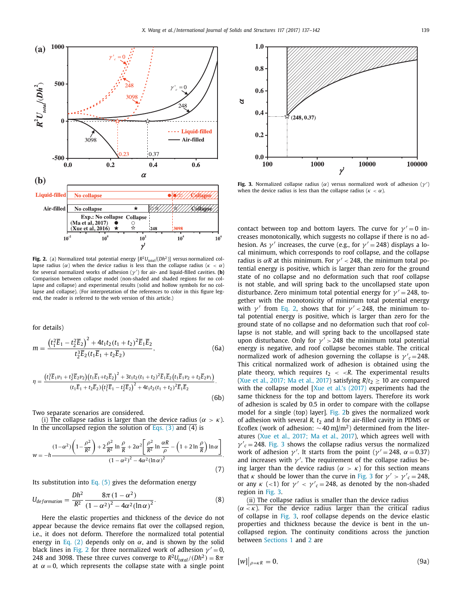<span id="page-2-0"></span>

**Fig. 2.** (a) Normalized total potential energy  $[R^2U_{total}/(Dh^2)]$  versus normalized collapse radius ( $\alpha$ ) when the device radius is less than the collapse radius ( $\kappa < \alpha$ ) for several normalized works of adhesion (γ ) for air- and liquid-filled cavities. **(b)** Comparison between collapse model (non-shaded and shaded regions for no collapse and collapse) and experimental results (solid and hollow symbols for no collapse and collapse). (For interpretation of the references to color in this figure legend, the reader is referred to the web version of this article.)

for details)  
\n
$$
m = \frac{\left(t_1^2 \overline{E}_1 - t_2^2 \overline{E}_2\right)^2 + 4t_1 t_2 (t_1 + t_2)^2 \overline{E}_1 \overline{E}_2}{t_2^3 \overline{E}_2 (t_1 \overline{E}_1 + t_2 \overline{E}_2)},
$$
\n(6a)

$$
\eta = \frac{\left(t_1^2 \overline{E}_1 v_1 + t_2^2 \overline{E}_2 v_2\right) \left(t_1 \overline{E}_1 + t_2 \overline{E}_2\right)^2 + 3t_1 t_2 (t_1 + t_2)^2 \overline{E}_1 \overline{E}_2 \left(t_1 \overline{E}_1 v_2 + t_2 \overline{E}_2 v_1\right)}{\left(t_1 \overline{E}_1 + t_2 \overline{E}_2\right) \left(t_1^2 \overline{E}_1 - t_2^2 \overline{E}_2\right)^2 + 4t_1 t_2 (t_1 + t_2)^2 \overline{E}_1 \overline{E}_2}.
$$
\n(6b)

Two separate scenarios are considered.

(i) The collapse radius is larger than the device radius ( $\alpha > \kappa$ ). In the uncollapsed region the solution of [Eqs.](#page-1-0)  $(3)$  and  $(4)$  is

$$
w = -h \frac{(1 - \alpha^2) \left(1 - \frac{\rho^2}{R^2}\right) + 2 \frac{\rho^2}{R^2} \ln \frac{\rho}{R} + 2\alpha^2 \left[\frac{\rho^2}{R^2} \ln \frac{\alpha R}{\rho} - \left(1 + 2 \ln \frac{\rho}{R}\right) \ln \alpha\right]}{(1 - \alpha^2)^2 - 4\alpha^2 (\ln \alpha)^2}.
$$
\n(7)

Its substitution into [Eq.](#page-1-0)  $(5)$  gives the deformation energy

$$
U_{deformation} = \frac{Dh^2}{R^2} \frac{8\pi (1 - \alpha^2)}{(1 - \alpha^2)^2 - 4\alpha^2 (\ln \alpha)^2}.
$$
 (8)

Here the elastic properties and thickness of the device do not appear because the device remains flat over the collapsed region, i.e., it does not deform. Therefore the normalized total potential energy in [Eq.](#page-1-0) (2) depends only on  $\alpha$ , and is shown by the solid black lines in Fig. 2 for three normalized work of adhesion  $\gamma' = 0$ , 248 and 3098. These three curves converge to  $R^2U_{total}/(Dh^2) = 8\pi$ at  $\alpha = 0$ , which represents the collapse state with a single point



Fig. 3. Normalized collapse radius ( $\alpha$ ) versus normalized work of adhesion ( $\gamma'$ ) when the device radius is less than the collapse radius ( $\kappa < \alpha$ ).

contact between top and bottom layers. The curve for  $v' = 0$  increases monotonically, which suggests no collapse if there is no adhesion. As  $\gamma'$  increases, the curve (e.g., for  $\gamma' = 248$ ) displays a local minimum, which corresponds to roof collapse, and the collapse radius is  $\alpha R$  at this minimum. For  $\nu' < 248$ , the minimum total potential energy is positive, which is larger than zero for the ground state of no collapse and no deformation such that roof collapse is not stable, and will spring back to the uncollapsed state upon disturbance. Zero minimum total potential energy for  $\gamma' = 248$ , together with the monotonicity of minimum total potential energy with  $\gamma'$  from [Eq.](#page-1-0) 2, shows that for  $\gamma' < 248$ , the minimum total potential energy is positive, which is larger than zero for the ground state of no collapse and no deformation such that roof collapse is not stable, and will spring back to the uncollapsed state upon disturbance. Only for  $\gamma$  > 248 the minimum total potential energy is negative, and roof collapse becomes stable. The critical normalized work of adhesion governing the collapse is  $\gamma c = 248$ . This critical normalized work of adhesion is obtained using the plate theory, which requires  $t_2 < *R*$ . The experimental results (Xue et al., [2017;](#page-5-0) Ma et al., 2017) satisfying  $R/t_2 \ge 10$  are compared with the collapse model [Xue et al.'s [\(2017\)](#page-5-0) experiments had the same thickness for the top and bottom layers. Therefore its work of adhesion is scaled by 0.5 in order to compare with the collapse model for a single (top) layer]. Fig. 2b gives the normalized work of adhesion with several *R*,  $t_2$  and *h* for air-filled cavity in PDMS or Ecoflex (work of adhesion:  $\sim$  40 mJ/m<sup>2</sup>) determined from the literatures (Xue et al., [2017;](#page-5-0) Ma et al., 2017), which agrees well with  $\gamma'$ <sub>c</sub> = 248. Fig. 3 shows the collapse radius versus the normalized work of adhesion  $\gamma'$ . It starts from the point ( $\gamma' = 248$ ,  $\alpha = 0.37$ ) and increases with  $\gamma'$ . The requirement of the collapse radius being larger than the device radius ( $\alpha > \kappa$ ) for this section means that *κ* should be lower than the curve in Fig. 3 for  $\gamma' > \gamma'_{c} = 248$ , or any  $\kappa$  (<1) for  $\gamma' < \gamma'_{c} = 248$ , as denoted by the non-shaded region in Fig. 3.

## (ii) The collapse radius is smaller than the device radius

 $(\alpha \leq \kappa)$ . For the device radius larger than the critical radius of collapse in Fig. 3, roof collapse depends on the device elastic properties and thickness because the device is bent in the uncollapsed region. The continuity conditions across the junction between [Sections](#page-0-0) 1 and [2](#page-0-0) are

$$
[w]\big|_{\rho=\kappa R}=0,\tag{9a}
$$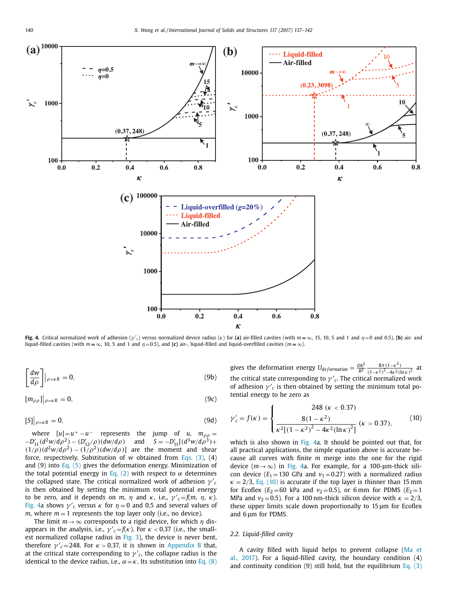<span id="page-3-0"></span>

Fig. 4. Critical normalized work of adhesion  $(\gamma_c)$  versus normalized device radius  $(\kappa)$  for (a) air-filled cavities (with  $m = \infty$ , 15, 10, 5 and 1 and  $\eta = 0$  and 0.5), (b) air-and liquid-filled cavities (with  $m = \infty$ , 10, 5 and 1 and  $\eta = 0.5$ ), and (c) air-, liquid-filled and liquid-overfilled cavities ( $m = \infty$ ).

$$
\left[\frac{dw}{d\rho}\right]|_{\rho=\kappa R}=0,\tag{9b}
$$

$$
[m_{\rho\rho}]\big|_{\rho=\kappa R}=0,\tag{9c}
$$

$$
[S]\big|_{\rho=\kappa R}=0,\tag{9d}
$$

where  $[u]=u^+ - u^-$  represents the jump of *u*,  $m_{\rho\rho} =$  $-D'_{11}(d^2w/d\rho^2) - (D'_{12}/\rho)(dw/d\rho)$  and  $S = -D'_{11}[(d^3w/d\rho^3) +$  $(1/\rho)(d^2w/d\rho^2) - (1/\rho^2)(dw/d\rho)$ ] are the moment and shear force, respectively. Substitution of *w* obtained from [Eqs.](#page-1-0) (3), (4) and (9) into [Eq.](#page-1-0) (5) gives the deformation energy. Minimization of the total potential energy in [Eq.](#page-1-0) (2) with respect to  $\alpha$  determines the collapsed state. The critical normalized work of adhesion  $\gamma c$ is then obtained by setting the minimum total potential energy to be zero, and it depends on *m*,  $\eta$  and  $\kappa$ , i.e.,  $\gamma'_{c} = f(m, \eta, \kappa)$ . Fig. 4a shows  $\gamma'$ <sub>c</sub> versus  $\kappa$  for  $\eta = 0$  and 0.5 and several values of *m*, where  $m = 1$  represents the top layer only (i.e., no device).

The limit  $m \rightarrow \infty$  corresponds to a rigid device, for which  $\eta$  disappears in the analysis, i.e.,  $\gamma'_{c} = f(\kappa)$ . For  $\kappa < 0.37$  (i.e., the smallest normalized collapse radius in [Fig.](#page-2-0) 3), the device is never bent, therefore  $\gamma'_{c} = 248$ . For  $\kappa > 0.37$ , it is shown in [Appendix](#page-5-0) B that, at the critical state corresponding to  $\gamma'$ <sub>c</sub>, the collapse radius is the identical to the device radius, i.e.,  $\alpha = \kappa$ . Its substitution into [Eq.](#page-2-0) (8) gives the deformation energy  $U_{deformation} = \frac{Dh^2}{R^2} \frac{8\pi(1-\kappa^2)}{(1-\kappa^2)^2-4\kappa^2(R)}$  $\frac{8\pi(1-\kappa^{2})}{(1-\kappa^{2})^{2}-4\kappa^{2}(\ln\kappa)^{2}}$  at the critical state corresponding to  $\gamma'$ <sub>c</sub>. The critical normalized work of adhesion  $\gamma'$ <sub>c</sub> is then obtained by setting the minimum total potential energy to be zero as

$$
\gamma_c' = f(\kappa) = \begin{cases}\n248 \left(\kappa < 0.37\right) \\
8(1 - \kappa^2) \\
\kappa^2 \left[ (1 - \kappa^2)^2 - 4\kappa^2 (\ln \kappa)^2 \right] \left(\kappa > 0.37\right),\n\end{cases}\n\tag{10}
$$

which is also shown in Fig. 4a. It should be pointed out that, for all practical applications, the simple equation above is accurate because all curves with finite *m* merge into the one for the rigid device  $(m \rightarrow \infty)$  in Fig. 4a. For example, for a 100-µm-thick silicon device  $(E_1 = 130 \text{ GPa}$  and  $v_1 = 0.27)$  with a normalized radius  $\kappa = 2/3$ , Eq. (10) is accurate if the top layer is thinner than 15 mm for Ecoflex ( $E_2$ =60 kPa and  $v_2$ =0.5), or 6 mm for PDMS ( $E_2$ =1 MPa and  $v_2$  = 0.5). For a 100 nm-thick silicon device with  $\kappa = 2/3$ , these upper limits scale down proportionally to 15 μm for Ecoflex and 6 μm for PDMS.

#### *2.2. Liquid-filled cavity*

A cavity filled with liquid helps to prevent collapse (Ma et al., 2017). For a [liquid-filled](#page-5-0) cavity, the boundary condition (4) and continuity condition  $(9)$  still hold, but the equilibrium [Eq.](#page-1-0)  $(3)$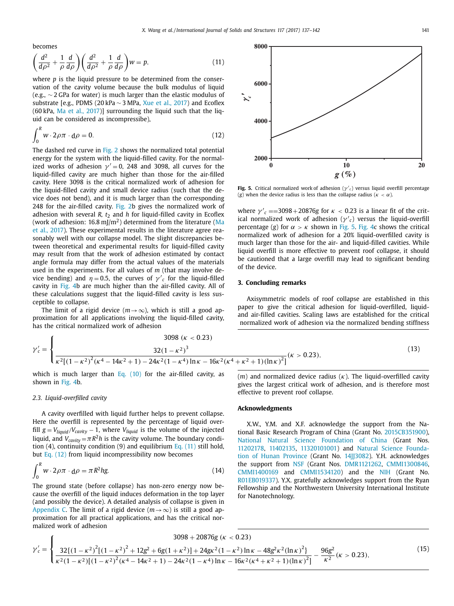<span id="page-4-0"></span>becomes

$$
\left(\frac{d^2}{d\rho^2} + \frac{1}{\rho} \frac{d}{d\rho}\right) \left(\frac{d^2}{d\rho^2} + \frac{1}{\rho} \frac{d}{d\rho}\right) w = p,\tag{11}
$$

where *p* is the liquid pressure to be determined from the conservation of the cavity volume because the bulk modulus of liquid (e.g., ∼ 2 GPa for water) is much larger than the elastic modulus of substrate [e.g., PDMS (20 kPa ∼ 3 MPa, Xue et al., [2017\)](#page-5-0) and Ecoflex (60 kPa, Ma et al., [2017\)](#page-5-0)] surrounding the liquid such that the liquid can be considered as incompressibe),

$$
\int_0^R w \cdot 2\rho \pi \cdot d\rho = 0. \tag{12}
$$

The dashed red curve in [Fig.](#page-2-0) 2 shows the normalized total potential energy for the system with the liquid-filled cavity. For the normalized works of adhesion  $\gamma' = 0$ , 248 and 3098, all curves for the liquid-filled cavity are much higher than those for the air-filled cavity. Here 3098 is the critical normalized work of adhesion for the liquid-filled cavity and small device radius (such that the device does not bend), and it is much larger than the corresponding 248 for the air-filled cavity. [Fig.](#page-2-0) 2b gives the normalized work of adhesion with several  $R$ ,  $t_2$  and  $h$  for liquid-filled cavity in Ecoflex (work of adhesion:  $16.8 \text{ m}$ ]/ $\text{m}^2$ ) determined from the literature (Ma et al., 2017). These [experimental](#page-5-0) results in the literature agree reasonably well with our collapse model. The slight discrepancies between theoretical and experimental results for liquid-filled cavity may result from that the work of adhesion estimated by contact angle formula may differ from the actual values of the materials used in the experiments. For all values of *m* (that may involve device bending) and  $\eta = 0.5$ , the curves of  $\gamma'_{c}$  for the liquid-filled cavity in [Fig.](#page-3-0) 4b are much higher than the air-filled cavity. All of these calculations suggest that the liquid-filled cavity is less susceptible to collapse.

The limit of a rigid device ( $m \rightarrow \infty$ ), which is still a good approximation for all applications involving the liquid-filled cavity, has the critical normalized work of adhesion

$$
\gamma_c' = \begin{cases}\n3098 \left(\kappa < 0.23\right) \\
\frac{32\left(1 - \kappa^2\right)^3}{\kappa^2 \left[\left(1 - \kappa^2\right)^2 \left(\kappa^4 - 14\kappa^2 + 1\right) - 24\kappa^2 (1 - \kappa^4) \ln \kappa - 16\kappa^2 (\kappa^4 + \kappa^2 + 1) (\ln \kappa)^2\right]} (\kappa > 0.23),\n\end{cases}\n\tag{13}
$$

which is much larger than Eq.  $(10)$  for the air-filled cavity, as shown in [Fig.](#page-3-0) 4b.

#### *2.3. Liquid-overfilled cavity*

A cavity overfilled with liquid further helps to prevent collapse. Here the overfill is represented by the percentage of liquid overfill  $g = V_{liquid}/V_{cavity} - 1$ , where  $V_{liquid}$  is the volume of the injected liquid, and  $V_{cavity} = \pi R^2 h$  is the cavity volume. The boundary condition  $(4)$ , continuity condition  $(9)$  and equilibrium Eq.  $(11)$  still hold, but Eq. (12) from liquid incompressibility now becomes

$$
\int_0^R w \cdot 2\rho \pi \cdot d\rho = \pi R^2 h g. \tag{14}
$$

The ground state (before collapse) has non-zero energy now because the overfill of the liquid induces deformation in the top layer (and possibly the device). A detailed analysis of collapse is given in [Appendix](#page-5-0) C. The limit of a rigid device  $(m \rightarrow \infty)$  is still a good approximation for all practical applications, and has the critical normalized work of adhesion



**Fig. 5.** Critical normalized work of adhesion ( $\gamma'$ <sub>c</sub>) versus liquid overfill percentage (*g*) when the device radius is less than the collapse radius ( $\kappa < \alpha$ ).

where  $\gamma'_{c} = 3098 + 20876g$  for  $\kappa < 0.23$  is a linear fit of the critical normalized work of adhesion  $(\gamma c)$  versus the liquid-overfill percentage (*g*) for  $\alpha > \kappa$  shown in [Fig.](#page-3-0) 5. Fig. 4c shows the critical normalized work of adhesion for a 20% liquid-overfilled cavity is much larger than those for the air- and liquid-filled cavities. While liquid overfill is more effective to prevent roof collapse, it should be cautioned that a large overfill may lead to significant bending of the device.

## **3. Concluding remarks**

Axisymmetric models of roof collapse are established in this paper to give the critical adhesion for liquid-overfilled, liquidand air-filled cavities. Scaling laws are established for the critical normalized work of adhesion via the normalized bending stiffness

$$
\frac{1}{(13)}(k > 0.23),
$$

(*m*) and normalized device radius (κ). The liquid-overfilled cavity gives the largest critical work of adhesion, and is therefore most effective to prevent roof collapse.

#### **Acknowledgments**

X.W., Y.M. and X.F. acknowledge the support from the National Basic Research Program of China (Grant No. 2015CB351900), National Natural Science [Foundation](http://dx.doi.org/10.13039/501100001809) of China (Grant Nos. 11202178, 11402135, 11320101001) and Natural Science Foundation of Hunan Province (Grant No. 14][3082). Y.H. [acknowledges](http://dx.doi.org/10.13039/501100004735) the support from [NSF](http://dx.doi.org/10.13039/100000001) (Grant Nos. DMR1121262, CMMI1300846, CMMI1400169 and CMMI1534120) and the [NIH](http://dx.doi.org/10.13039/100000002) (Grant No. R01EB019337). Y.X. gratefully acknowledges support from the Ryan Fellowship and the Northwestern University International Institute for Nanotechnology.

$$
\gamma_c' = \begin{cases}\n3098 + 20876g (\kappa < 0.23) \\
32\{(1 - \kappa^2)^2[(1 - \kappa^2)^2 + 12g^2 + 6g(1 + \kappa^2)] + 24gx^2(1 - \kappa^2) \ln \kappa - 48g^2\kappa^2(\ln \kappa)^2] \\
\kappa^2 (1 - \kappa^2)[(1 - \kappa^2)^2(\kappa^4 - 14\kappa^2 + 1) - 24\kappa^2(1 - \kappa^4) \ln \kappa - 16\kappa^2(\kappa^4 + \kappa^2 + 1)(\ln \kappa)^2] \\
-\frac{96g^2}{\kappa^2}(\kappa > 0.23),\n\end{cases}\n\tag{15}
$$